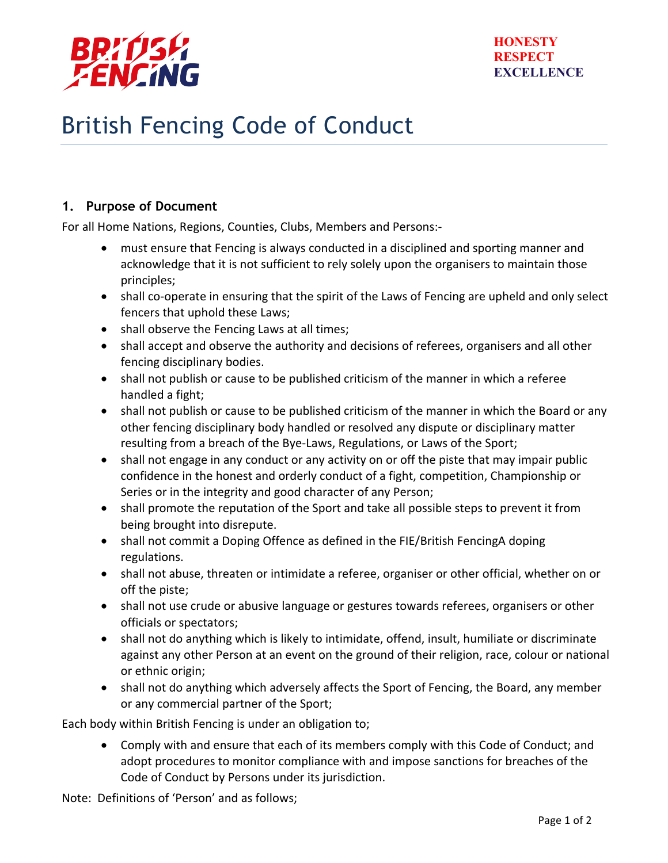

## British Fencing Code of Conduct

## **1. Purpose of Document**

For all Home Nations, Regions, Counties, Clubs, Members and Persons:-

- must ensure that Fencing is always conducted in a disciplined and sporting manner and acknowledge that it is not sufficient to rely solely upon the organisers to maintain those principles;
- shall co-operate in ensuring that the spirit of the Laws of Fencing are upheld and only select fencers that uphold these Laws:
- shall observe the Fencing Laws at all times;
- shall accept and observe the authority and decisions of referees, organisers and all other fencing disciplinary bodies.
- shall not publish or cause to be published criticism of the manner in which a referee handled a fight;
- shall not publish or cause to be published criticism of the manner in which the Board or any other fencing disciplinary body handled or resolved any dispute or disciplinary matter resulting from a breach of the Bye-Laws, Regulations, or Laws of the Sport;
- shall not engage in any conduct or any activity on or off the piste that may impair public confidence in the honest and orderly conduct of a fight, competition, Championship or Series or in the integrity and good character of any Person;
- shall promote the reputation of the Sport and take all possible steps to prevent it from being brought into disrepute.
- shall not commit a Doping Offence as defined in the FIE/British FencingA doping regulations.
- shall not abuse, threaten or intimidate a referee, organiser or other official, whether on or off the piste;
- shall not use crude or abusive language or gestures towards referees, organisers or other officials or spectators;
- shall not do anything which is likely to intimidate, offend, insult, humiliate or discriminate against any other Person at an event on the ground of their religion, race, colour or national or ethnic origin;
- shall not do anything which adversely affects the Sport of Fencing, the Board, any member or any commercial partner of the Sport;

Each body within British Fencing is under an obligation to;

• Comply with and ensure that each of its members comply with this Code of Conduct; and adopt procedures to monitor compliance with and impose sanctions for breaches of the Code of Conduct by Persons under its jurisdiction.

Note: Definitions of 'Person' and as follows;